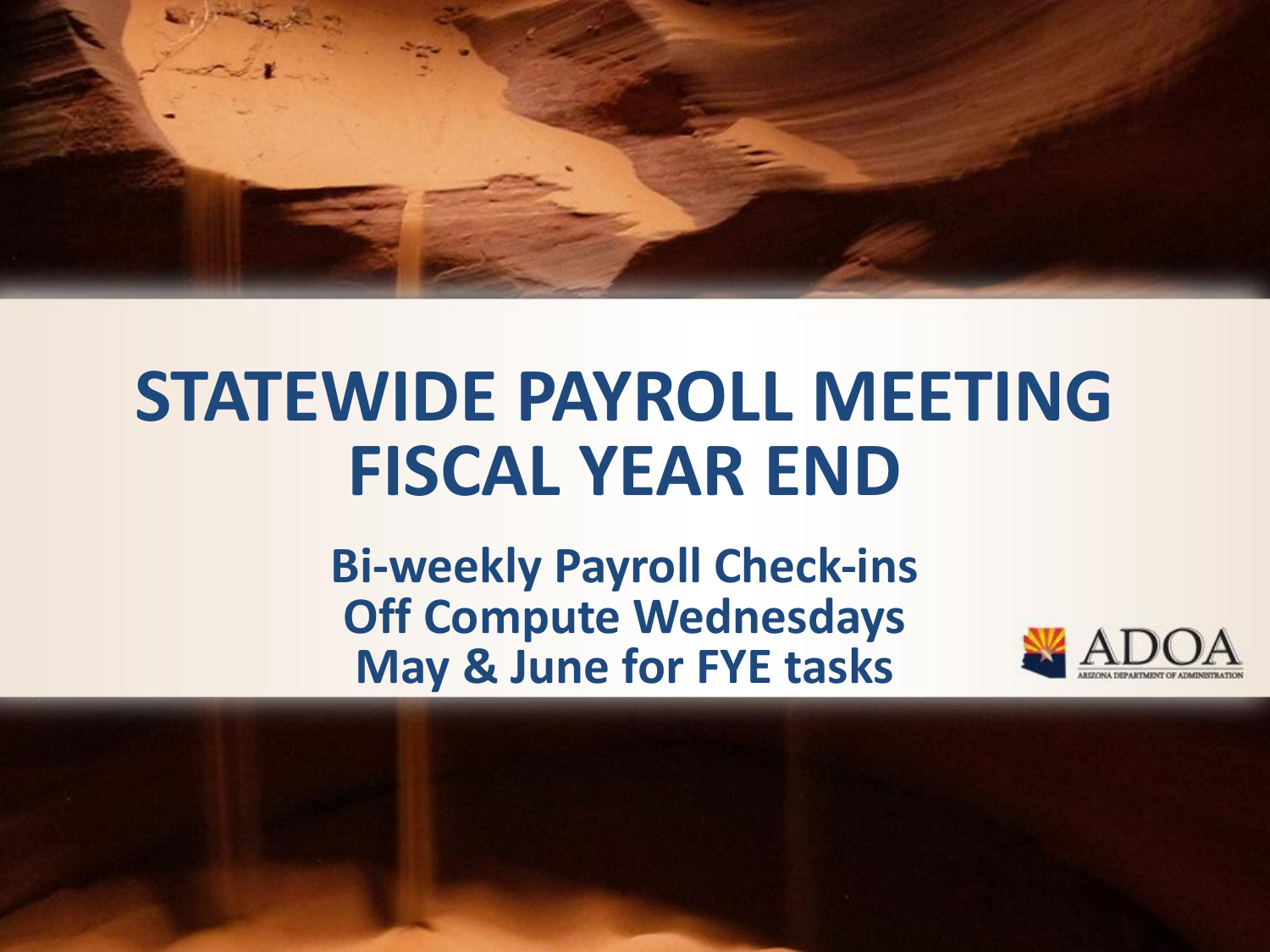

# **STATEWIDE PAYROLL MEETING FISCAL YEAR END**

**Bi-weekly Payroll Check-ins Off Compute Wednesdays May & June for FYE tasks**

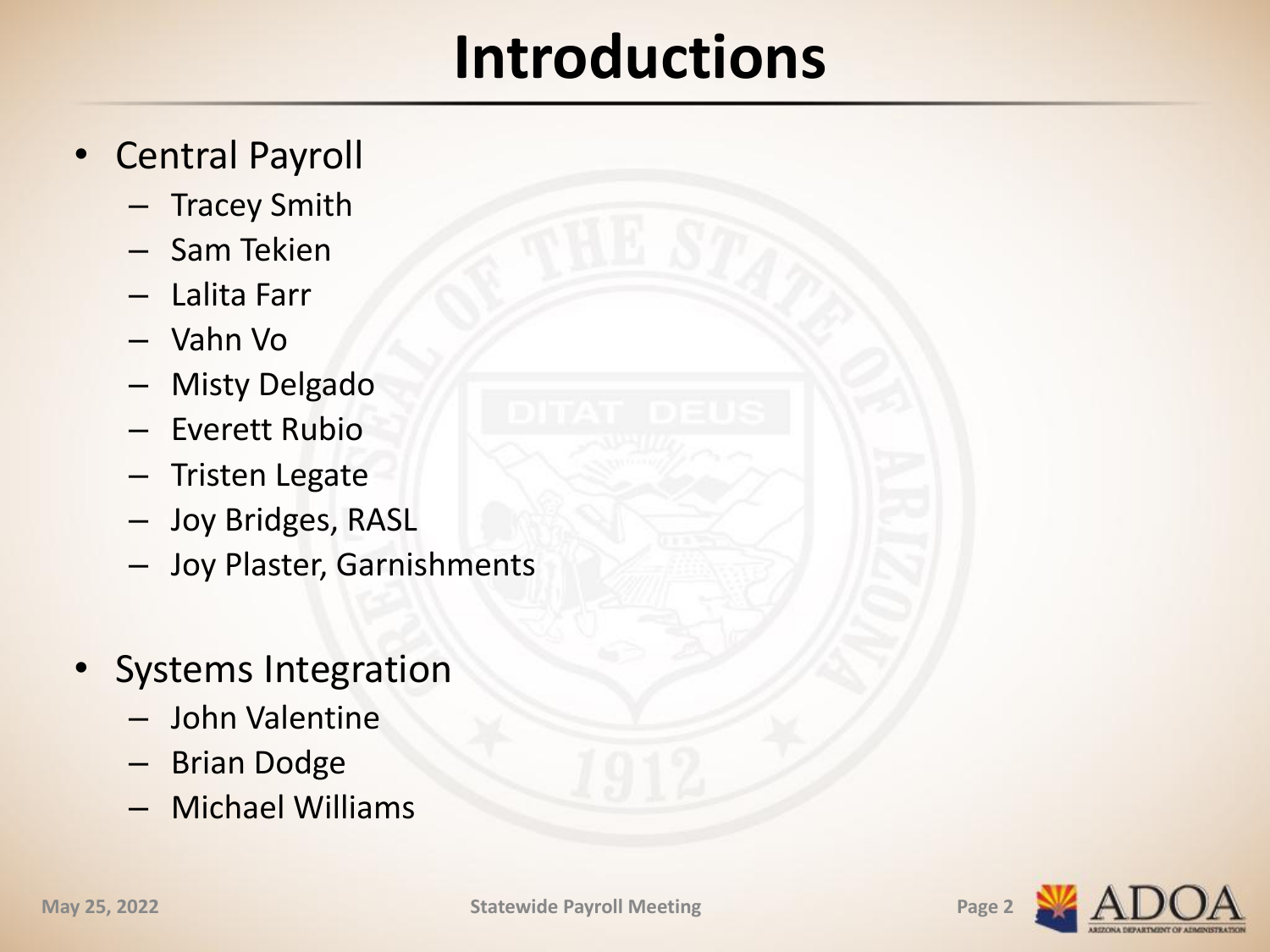## **Introductions**

- Central Payroll
	- Tracey Smith
	- Sam Tekien
	- Lalita Farr
	- Vahn Vo
	- Misty Delgado
	- Everett Rubio
	- Tristen Legate
	- Joy Bridges, RASL
	- Joy Plaster, Garnishments
- Systems Integration
	- John Valentine
	- Brian Dodge
	- Michael Williams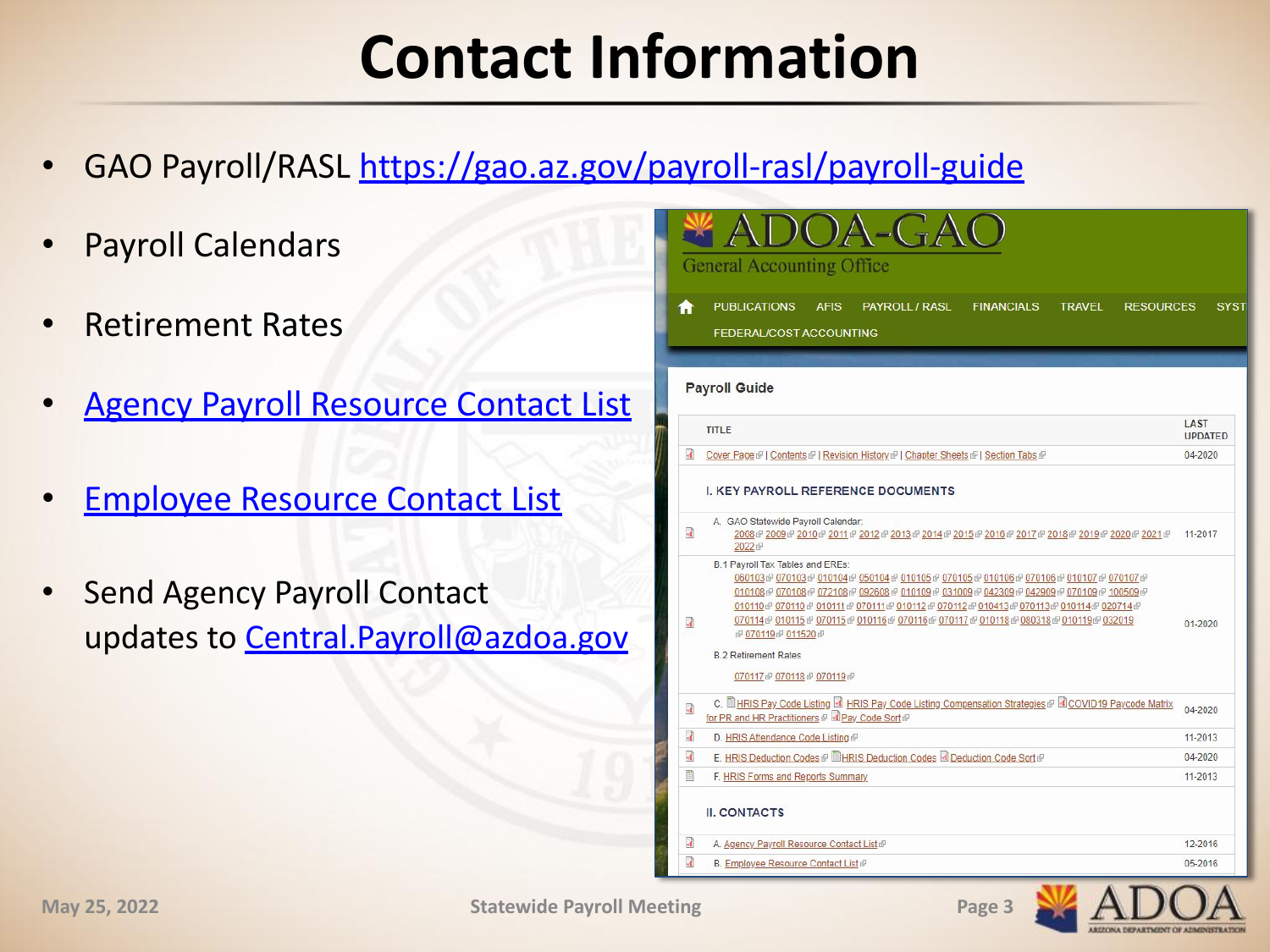## **Contact Information**

- GAO Payroll/RASL <https://gao.az.gov/payroll-rasl/payroll-guide>
- Payroll Calendars
- Retirement Rates
- **[Agency Payroll Resource Contact List](https://gao.az.gov/sites/default/files/APG_II_A_Agency_Payroll_Resource_Contact_List_0.pdf)**
- **[Employee Resource Contact List](https://gao.az.gov/sites/default/files/APG_II_B_Employee_Resource_Contact_List_0.pdf)**
- Send Agency Payroll Contact updates to Central. Payroll@azdoa.gov

|                                  | DOA-GA<br><b>General Accounting Office</b>                                                                                                                                                                                                                                                                                                                                                                                                                                                                                                                                  |                        |
|----------------------------------|-----------------------------------------------------------------------------------------------------------------------------------------------------------------------------------------------------------------------------------------------------------------------------------------------------------------------------------------------------------------------------------------------------------------------------------------------------------------------------------------------------------------------------------------------------------------------------|------------------------|
| Ħ                                | <b>PUBLICATIONS</b><br><b>AFIS</b><br><b>PAYROLL / RASL</b><br><b>FINANCIALS</b><br><b>TRAVEL</b><br><b>RESOURCES</b><br>FEDERAL/COST ACCOUNTING                                                                                                                                                                                                                                                                                                                                                                                                                            | <b>SYST</b>            |
|                                  | <b>Payroll Guide</b>                                                                                                                                                                                                                                                                                                                                                                                                                                                                                                                                                        |                        |
|                                  | <b>TITLE</b>                                                                                                                                                                                                                                                                                                                                                                                                                                                                                                                                                                | LAST<br><b>UPDATED</b> |
| $\overline{A}$                   | Cover Page @   Contents @   Revision History @   Chapter Sheets @   Section Tabs @                                                                                                                                                                                                                                                                                                                                                                                                                                                                                          | 04-2020                |
| $\overline{M}$<br>$\overline{A}$ | A. GAO Statewide Payroll Calendar:<br>2008 @ 2009 @ 2010 @ 2011 @ 2012 @ 2013 @ 2014 @ 2015 @ 2016 @ 2017 @ 2018 @ 2019 @ 2020 @ 2021 @<br>2022<br>B.1 Payroll Tax Tables and EREs:<br>060103 @070103 @010104 @050104 @010105 @070105 @010106 @070106 @010107 @070107 @<br>010108@070108@072108@092608@010109@031009@042309@042909@070109@100509@<br>010110 @ 070110 @ 010111 @ 070111 @ 010112 @ 070112 @ 010413 @ 070113 @ 010114 @ 020714 @<br>070114@010115@070115@010116@070116@070117@010118@080318@010119@032019<br>图 070119图 011520图<br><b>B.2 Retirement Rates</b> | 11-2017<br>$01 - 2020$ |
|                                  | 070117 @ 070118 @ 070119 @                                                                                                                                                                                                                                                                                                                                                                                                                                                                                                                                                  |                        |
| M                                | C. <b>ILL HRIS Pay Code Listing &amp; HRIS Pay Code Listing Compensation Strategies @ &amp; COVID19 Paycode Matrix</b><br>for PR and HR Practitioners @ <b>DPay Code Sort</b>                                                                                                                                                                                                                                                                                                                                                                                               | 04-2020                |
| $\overline{A}$                   | D. HRIS Attendance Code Listing @                                                                                                                                                                                                                                                                                                                                                                                                                                                                                                                                           | 11-2013                |
| R                                | E. HRIS Deduction Codes @ LHRIS Deduction Codes & Deduction Code Sort                                                                                                                                                                                                                                                                                                                                                                                                                                                                                                       | 04-2020                |
| E                                | F. HRIS Forms and Reports Summary<br><b>II. CONTACTS</b>                                                                                                                                                                                                                                                                                                                                                                                                                                                                                                                    | 11-2013                |
| $\mathbf{A}$                     | A. Agency Payroll Resource Contact List @                                                                                                                                                                                                                                                                                                                                                                                                                                                                                                                                   | 12-2016                |
|                                  | $\mathbb{R}$ $\mathbb{R}$ $\mathbb{R}$ $\mathbb{R}$ $\mathbb{R}$ $\mathbb{R}$ $\mathbb{R}$ $\mathbb{R}$ $\mathbb{R}$ $\mathbb{R}$ $\mathbb{R}$ $\mathbb{R}$ $\mathbb{R}$ $\mathbb{R}$ $\mathbb{R}$ $\mathbb{R}$ $\mathbb{R}$ $\mathbb{R}$ $\mathbb{R}$ $\mathbb{R}$ $\mathbb{R}$ $\mathbb{R}$ $\mathbb{R}$ $\mathbb{R}$ $\mathbb{$                                                                                                                                                                                                                                          | or pose                |

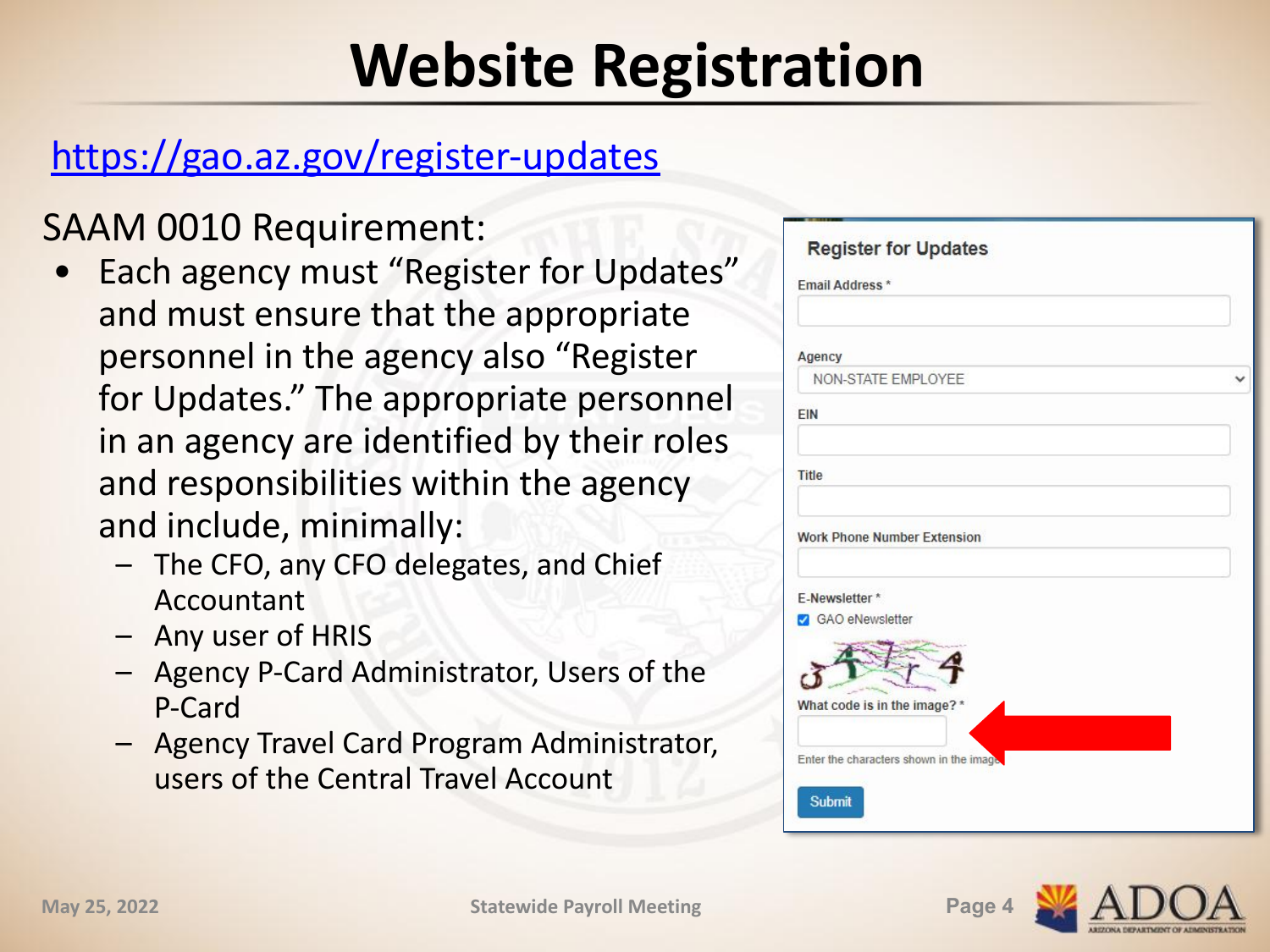## **Website Registration**

### <https://gao.az.gov/register-updates>

SAAM 0010 Requirement:

- Each agency must "Register for Updates" and must ensure that the appropriate personnel in the agency also "Register for Updates." The appropriate personnel in an agency are identified by their roles and responsibilities within the agency and include, minimally:
	- The CFO, any CFO delegates, and Chief Accountant
	- Any user of HRIS
	- Agency P-Card Administrator, Users of the P-Card
	- Agency Travel Card Program Administrator, users of the Central Travel Account

| Agency                                  |  |
|-----------------------------------------|--|
| NON-STATE EMPLOYEE                      |  |
| EIN                                     |  |
| <b>Title</b>                            |  |
| <b>Work Phone Number Extension</b>      |  |
| E-Newsletter*<br><b>GAO</b> eNewsletter |  |
|                                         |  |
|                                         |  |
| What code is in the image? *            |  |

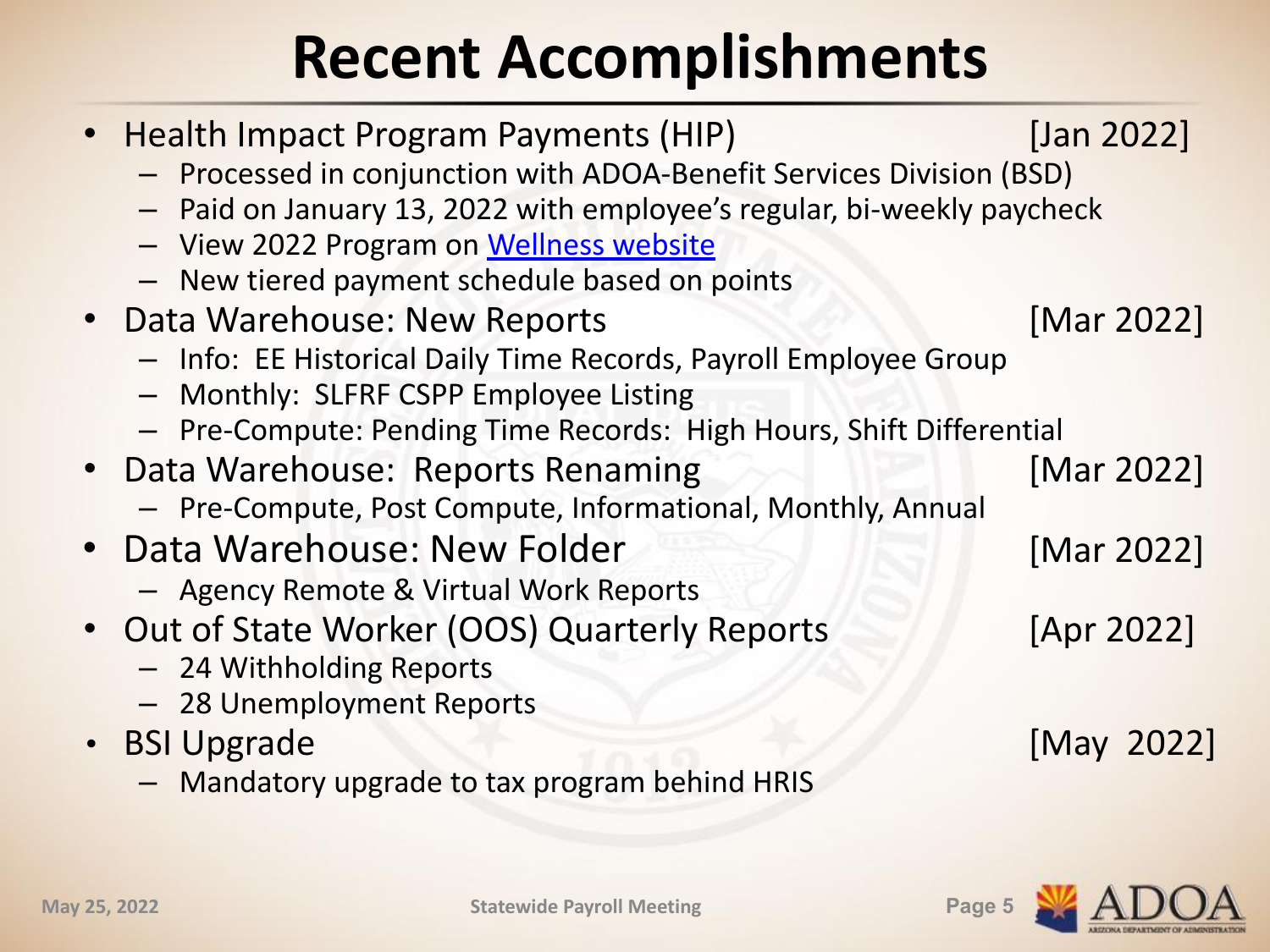# **Recent Accomplishments**

| • Health Impact Program Payments (HIP)                                                                            | [Jan 2022] |
|-------------------------------------------------------------------------------------------------------------------|------------|
| - Processed in conjunction with ADOA-Benefit Services Division (BSD)                                              |            |
| - Paid on January 13, 2022 with employee's regular, bi-weekly paycheck<br>- View 2022 Program on Wellness website |            |
| - New tiered payment schedule based on points                                                                     |            |
| • Data Warehouse: New Reports                                                                                     | [Mar 2022] |
| - Info: EE Historical Daily Time Records, Payroll Employee Group                                                  |            |
| - Monthly: SLFRF CSPP Employee Listing                                                                            |            |
| - Pre-Compute: Pending Time Records: High Hours, Shift Differential                                               |            |
| • Data Warehouse: Reports Renaming                                                                                | [Mar 2022] |
| - Pre-Compute, Post Compute, Informational, Monthly, Annual                                                       |            |
| • Data Warehouse: New Folder                                                                                      | [Mar 2022] |
| - Agency Remote & Virtual Work Reports                                                                            |            |
| • Out of State Worker (OOS) Quarterly Reports                                                                     | [Apr 2022] |
| - 24 Withholding Reports                                                                                          |            |
| - 28 Unemployment Reports                                                                                         |            |
| • BSI Upgrade                                                                                                     | [May 2022] |
| - Mandatory upgrade to tax program behind HRIS                                                                    |            |

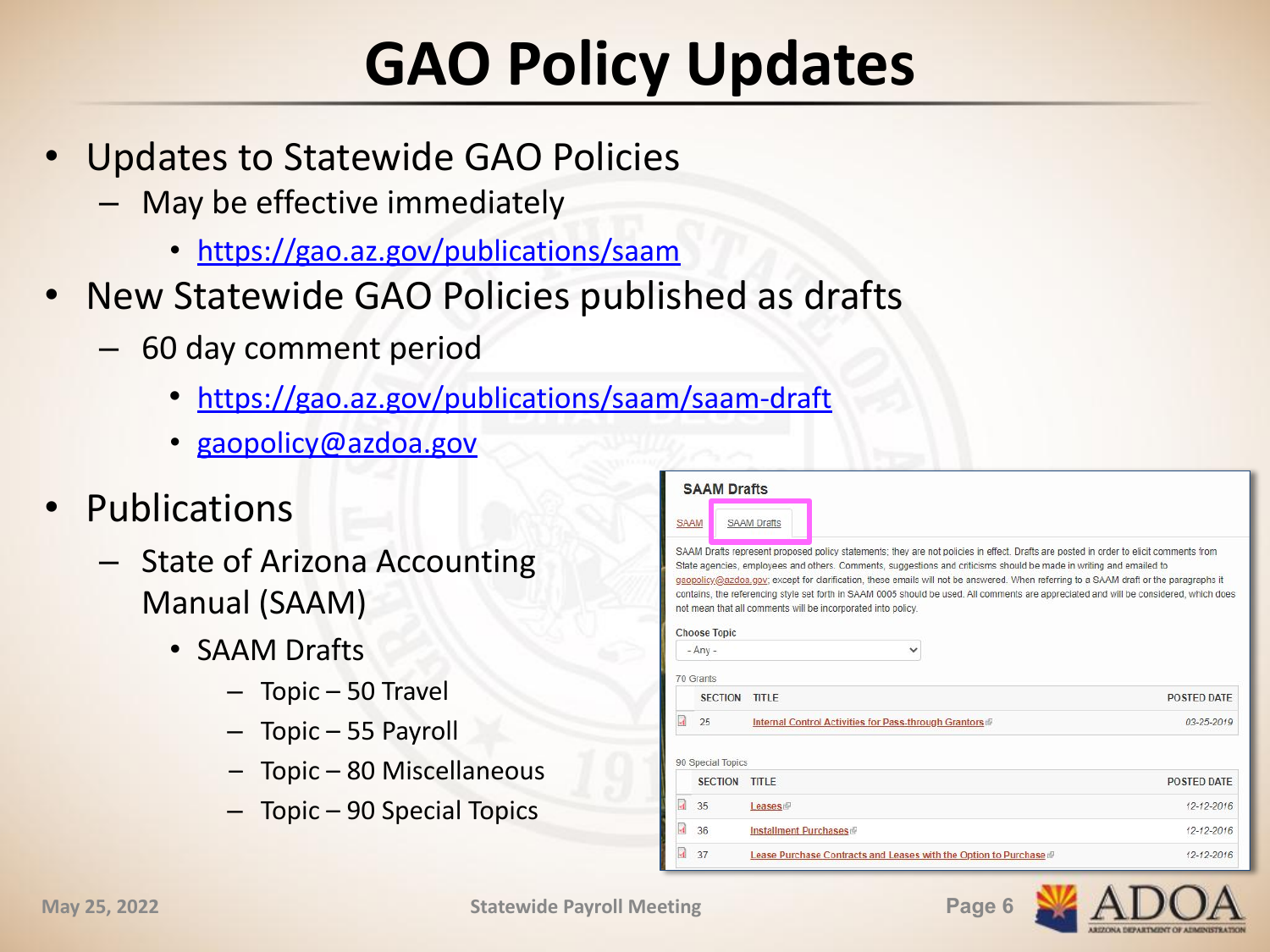# **GAO Policy Updates**

- Updates to Statewide GAO Policies
	- May be effective immediately
		- <https://gao.az.gov/publications/saam>
- New Statewide GAO Policies published as drafts
	- 60 day comment period
		- <https://gao.az.gov/publications/saam/saam-draft>
		- [gaopolicy@azdoa.gov](mailto:gaopolicy@azdoa.gov)
- Publications
	- State of Arizona Accounting Manual (SAAM)
		- SAAM Drafts
			- Topic 50 Travel
			- Topic 55 Payroll
			- Topic 80 Miscellaneous
			- Topic 90 Special Topics

|             | <b>SAAM Drafts</b>   |                                                                                                                                                                                                                                                                                                                                                                                                                                                                                                                                                                                                                 |                    |
|-------------|----------------------|-----------------------------------------------------------------------------------------------------------------------------------------------------------------------------------------------------------------------------------------------------------------------------------------------------------------------------------------------------------------------------------------------------------------------------------------------------------------------------------------------------------------------------------------------------------------------------------------------------------------|--------------------|
| <b>SAAM</b> |                      | <b>SAAM Drafts</b>                                                                                                                                                                                                                                                                                                                                                                                                                                                                                                                                                                                              |                    |
|             | <b>Choose Topic</b>  | SAAM Drafts represent proposed policy statements; they are not policies in effect. Drafts are posted in order to elicit comments from<br>State agencies, employees and others. Comments, suggestions and criticisms should be made in writing and emailed to<br>gaopolicy@azdoa.gov; except for clarification, these emails will not be answered. When referring to a SAAM draft or the paragraphs it<br>contains, the referencing style set forth in SAAM 0005 should be used. All comments are appreciated and will be considered, which does<br>not mean that all comments will be incorporated into policy. |                    |
|             | $-Any -$             | $\checkmark$                                                                                                                                                                                                                                                                                                                                                                                                                                                                                                                                                                                                    |                    |
|             | 70 Grants            |                                                                                                                                                                                                                                                                                                                                                                                                                                                                                                                                                                                                                 |                    |
|             |                      |                                                                                                                                                                                                                                                                                                                                                                                                                                                                                                                                                                                                                 |                    |
|             | <b>SECTION TITLE</b> |                                                                                                                                                                                                                                                                                                                                                                                                                                                                                                                                                                                                                 | <b>POSTED DATE</b> |
|             | 25                   | Internal Control Activities for Pass-through Grantors                                                                                                                                                                                                                                                                                                                                                                                                                                                                                                                                                           | $03 - 25 - 2019$   |
|             | 90 Special Topics    |                                                                                                                                                                                                                                                                                                                                                                                                                                                                                                                                                                                                                 |                    |
|             | <b>SECTION</b>       | <b>TITLE</b>                                                                                                                                                                                                                                                                                                                                                                                                                                                                                                                                                                                                    | <b>POSTED DATE</b> |
|             | 35                   | Leases                                                                                                                                                                                                                                                                                                                                                                                                                                                                                                                                                                                                          | 12-12-2016         |
|             | 36                   | Installment Purchases                                                                                                                                                                                                                                                                                                                                                                                                                                                                                                                                                                                           | 12-12-2016         |

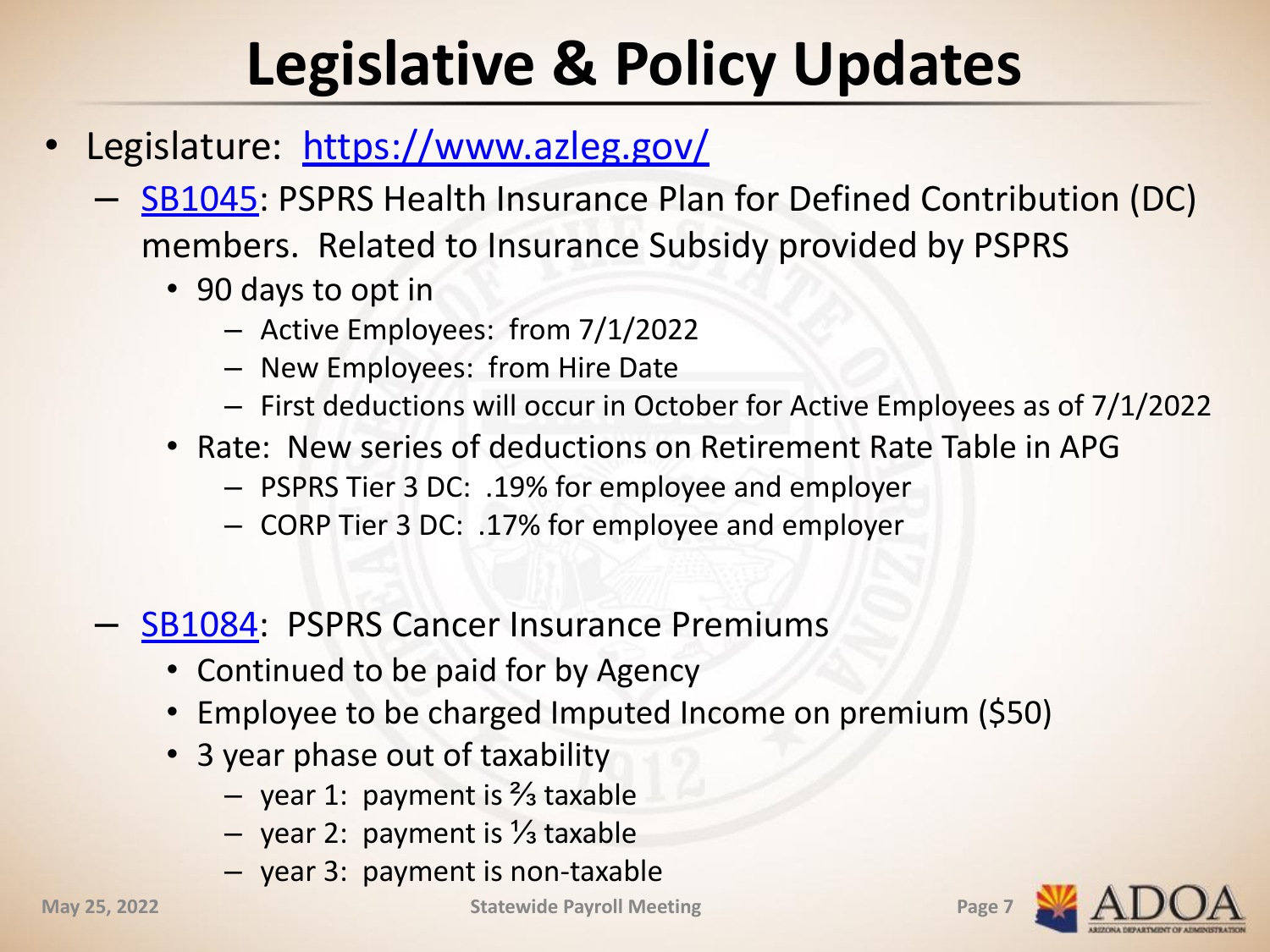# **Legislative & Policy Updates**

- Legislature: <https://www.azleg.gov/>
	- [SB1045:](https://www.psprs.com/uploads/sites/1/SB1045.pdf) PSPRS Health Insurance Plan for Defined Contribution (DC) members. Related to Insurance Subsidy provided by PSPRS
		- 90 days to opt in
			- Active Employees: from 7/1/2022
			- New Employees: from Hire Date
			- First deductions will occur in October for Active Employees as of 7/1/2022
		- Rate: New series of deductions on Retirement Rate Table in APG
			- PSPRS Tier 3 DC: .19% for employee and employer
			- CORP Tier 3 DC: .17% for employee and employer
	- **[SB1084:](https://www.psprs.com/uploads/sites/1/SB1084.pdf) PSPRS Cancer Insurance Premiums** 
		- Continued to be paid for by Agency
		- Employee to be charged Imputed Income on premium (\$50)
		- 3 year phase out of taxability
			- year 1: payment is ⅔ taxable
			- year 2: payment is ⅓ taxable
			- year 3: payment is non-taxable

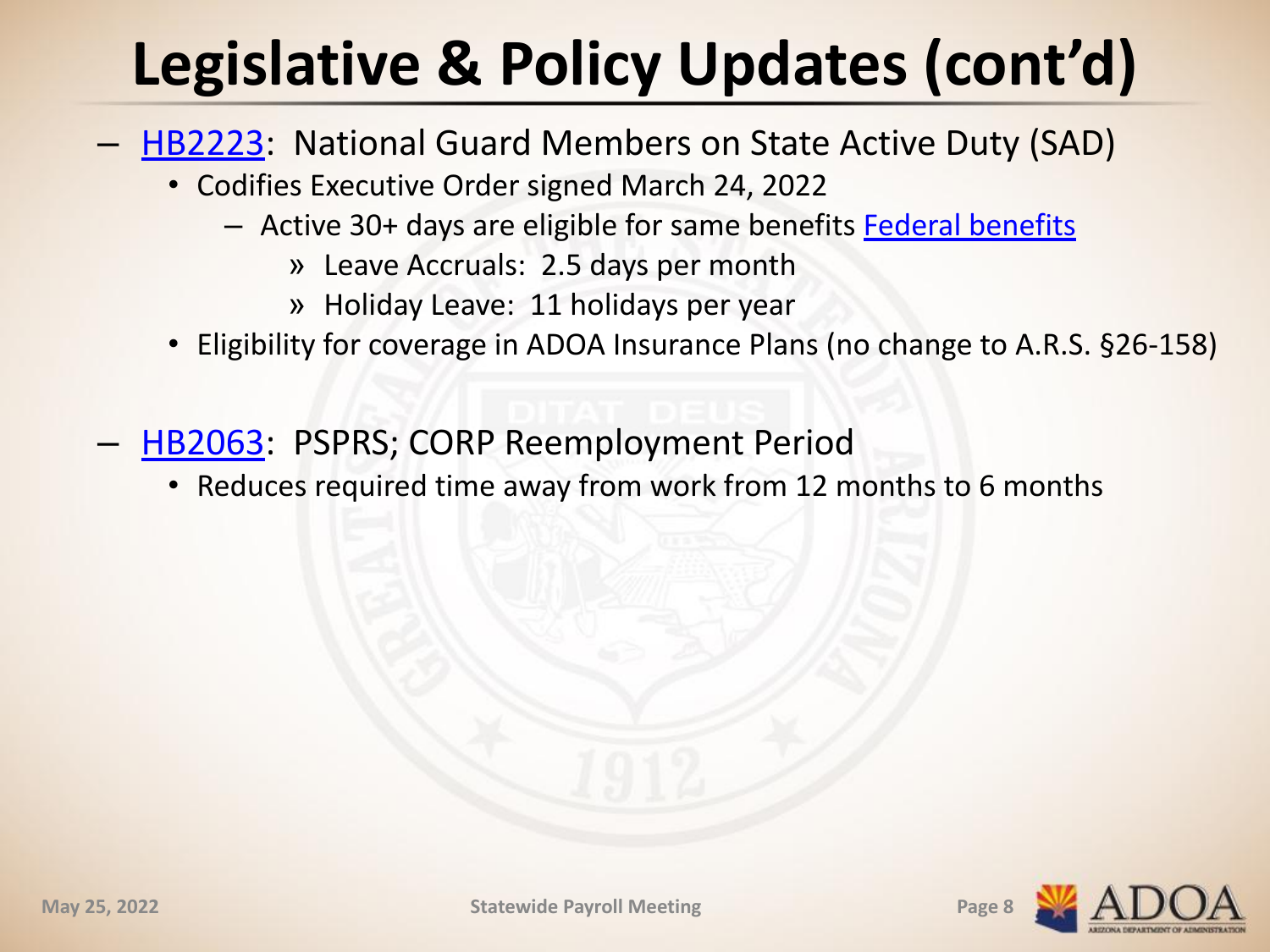# **Legislative & Policy Updates (cont'd)**

- [HB2223](https://www.azleg.gov/legtext/55leg/2R/laws/0151.pdf): National Guard Members on State Active Duty (SAD)
	- Codifies Executive Order signed March 24, 2022
		- Active 30+ days are eligible for same benefits [Federal benefits](https://myarmybenefits.us.army.mil/Benefit-Library/Federal-Benefits/Leave?serv=121)
			- » Leave Accruals: 2.5 days per month
			- » Holiday Leave: 11 holidays per year
	- Eligibility for coverage in ADOA Insurance Plans (no change to A.R.S. §26-158)
- [HB2063](https://apps.azleg.gov/BillStatus/GetDocumentPdf/497983): PSPRS; CORP Reemployment Period
	- Reduces required time away from work from 12 months to 6 months

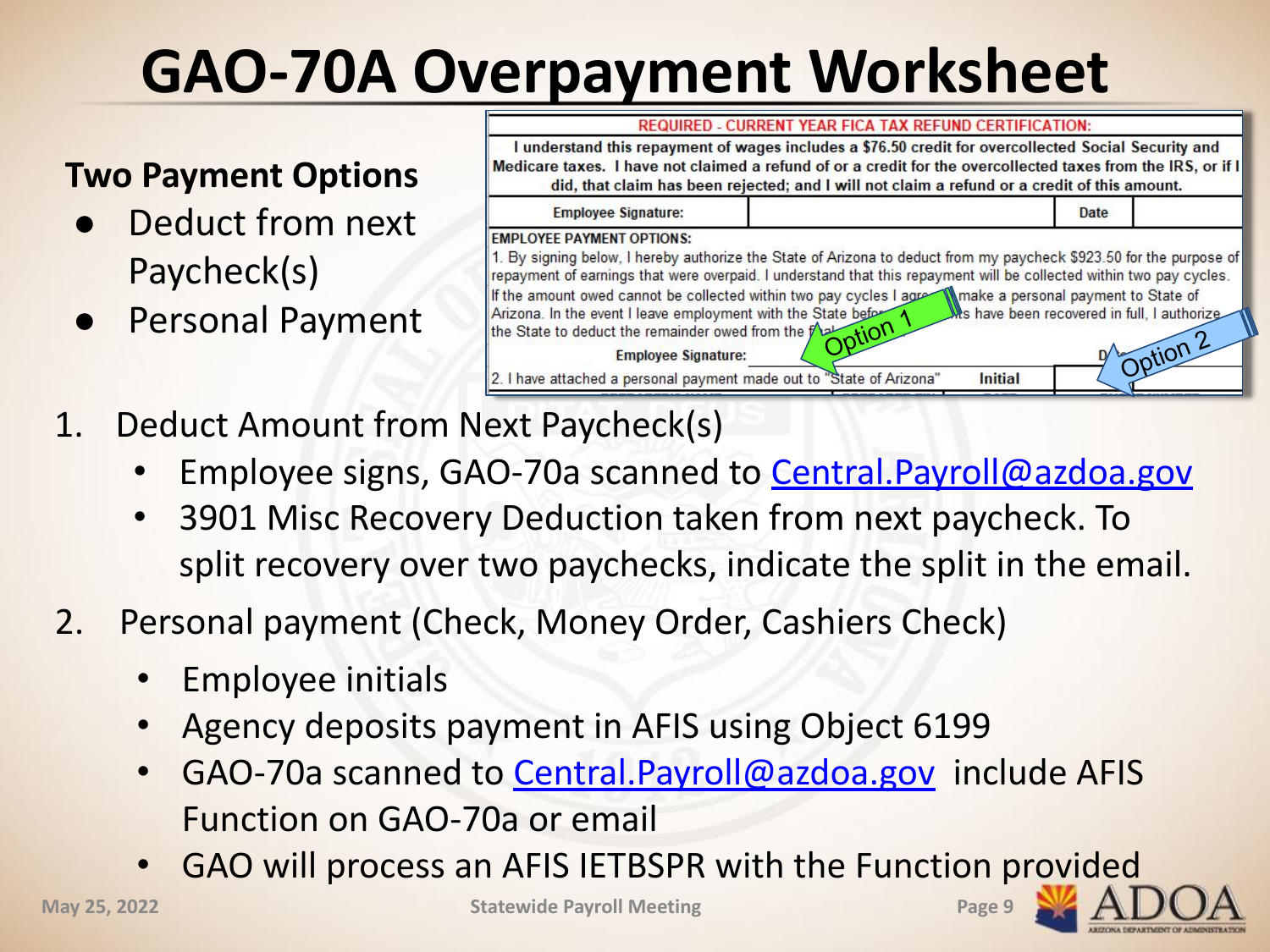# **GAO-70A Overpayment Worksheet**

### **Two Payment Options**

- Deduct from next Paycheck(s)
- 



- 1. Deduct Amount from Next Paycheck(s)
	- Employee signs, GAO-70a scanned to Central. Payroll@azdoa.gov
	- 3901 Misc Recovery Deduction taken from next paycheck. To split recovery over two paychecks, indicate the split in the email.
- 2. Personal payment (Check, Money Order, Cashiers Check)
	- Employee initials
	- Agency deposits payment in AFIS using Object 6199
	- GAO-70a scanned to Central. Payroll@azdoa.gov include AFIS Function on GAO-70a or email
	- GAO will process an AFIS IETBSPR with the Function provided

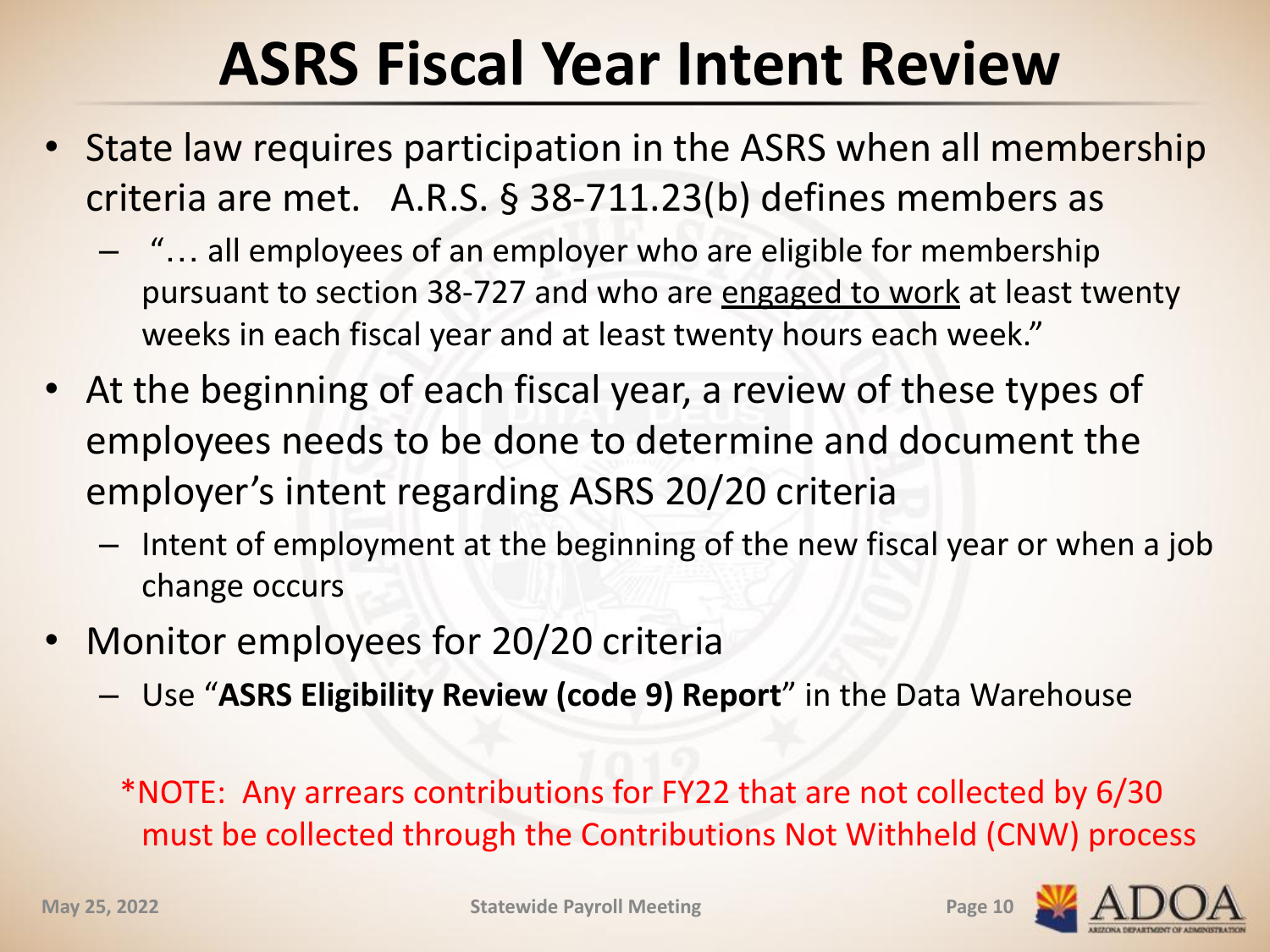## **ASRS Fiscal Year Intent Review**

- State law requires participation in the ASRS when all membership criteria are met. A.R.S. § 38-711.23(b) defines members as
	- "… all employees of an employer who are eligible for membership pursuant to section 38-727 and who are engaged to work at least twenty weeks in each fiscal year and at least twenty hours each week."
- At the beginning of each fiscal year, a review of these types of employees needs to be done to determine and document the employer's intent regarding ASRS 20/20 criteria
	- Intent of employment at the beginning of the new fiscal year or when a job change occurs
- Monitor employees for 20/20 criteria
	- Use "**ASRS Eligibility Review (code 9) Report**" in the Data Warehouse

\*NOTE: Any arrears contributions for FY22 that are not collected by 6/30 must be collected through the Contributions Not Withheld (CNW) process

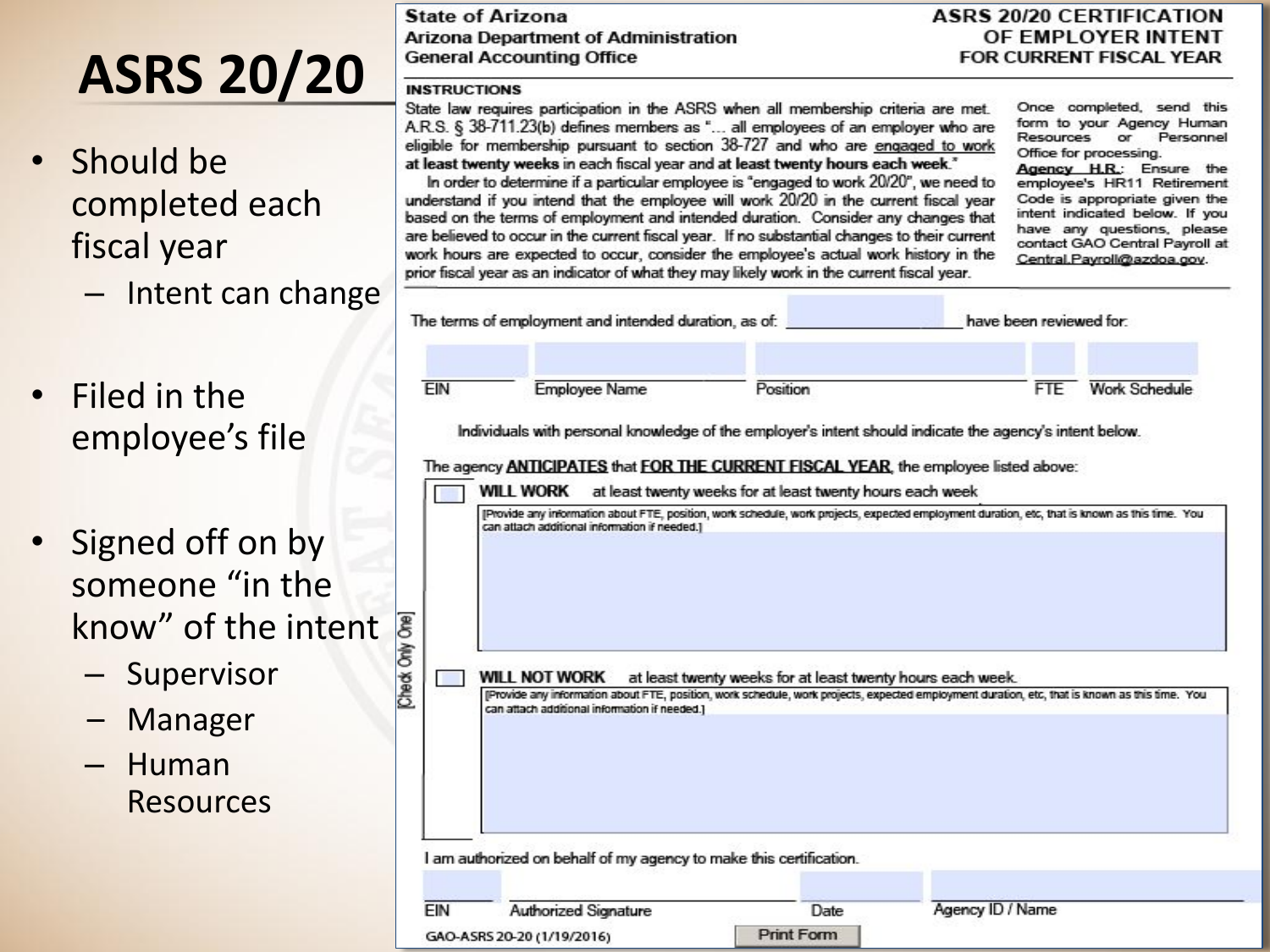# **ASRS 20/20**

- Should be completed each fiscal year
	- Intent can change
- Filed in the employee's file
- Signed off on by someone "in the know" of the intent
	- Supervisor
	- Manager
	- Human Resources

**State of Arizona Arizona Department of Administration General Accounting Office** 

#### **ASRS 20/20 CERTIFICATION** OF EMPLOYER INTENT FOR CURRENT FISCAL YEAR

#### **INSTRUCTIONS**

State law requires participation in the ASRS when all membership criteria are met. A.R.S. § 38-711.23(b) defines members as "... all employees of an employer who are eligible for membership pursuant to section 38-727 and who are engaged to work at least twenty weeks in each fiscal year and at least twenty hours each week."<br>In order to determine if a particular employee is "engaged to work 20/20", we need to

understand if you intend that the employee will work 20/20 in the current fiscal year based on the terms of employment and intended duration. Consider any changes that are believed to occur in the current fiscal year. If no substantial changes to their current work hours are expected to occur, consider the employee's actual work history in the prior fiscal year as an indicator of what they may likely work in the current fiscal year.

Once completed, send this form to your Agency Human Resources or Personnel Office for processing. Agency H.R.: Ensure the

employee's HR11 Retirement Code is appropriate given the intent indicated below. If you have any questions, please contact GAO Central Payroll at Central, Pavroll@azdoa.gov.

| EIN | <b>Employee Name</b>                                                                                                                                                                            | Position                                                  |                                                                                                                                                | <b>FTE</b> | <b>Work Schedule</b> |
|-----|-------------------------------------------------------------------------------------------------------------------------------------------------------------------------------------------------|-----------------------------------------------------------|------------------------------------------------------------------------------------------------------------------------------------------------|------------|----------------------|
|     | Individuals with personal knowledge of the employer's intent should indicate the agency's intent below.                                                                                         |                                                           |                                                                                                                                                |            |                      |
|     | The agency <b>ANTICIPATES</b> that <b>FOR THE CURRENT FISCAL YEAR</b> , the employee listed above:                                                                                              |                                                           |                                                                                                                                                |            |                      |
|     | WILL WORK                                                                                                                                                                                       | at least twenty weeks for at least twenty hours each week |                                                                                                                                                |            |                      |
|     |                                                                                                                                                                                                 |                                                           | [Provide any information about FTE, position, work schedule, work projects, expected employment duration, etc, that is known as this time. You |            |                      |
|     |                                                                                                                                                                                                 |                                                           |                                                                                                                                                |            |                      |
|     | can attach additional information if needed.]                                                                                                                                                   |                                                           |                                                                                                                                                |            |                      |
|     |                                                                                                                                                                                                 |                                                           |                                                                                                                                                |            |                      |
|     |                                                                                                                                                                                                 |                                                           |                                                                                                                                                |            |                      |
|     |                                                                                                                                                                                                 |                                                           |                                                                                                                                                |            |                      |
|     |                                                                                                                                                                                                 |                                                           |                                                                                                                                                |            |                      |
|     | WILL NOT WORK                                                                                                                                                                                   |                                                           | at least twenty weeks for at least twenty hours each week.                                                                                     |            |                      |
|     | (Provide any information about FTE, position, work schedule, work projects, expected employment duration, etc, that is known as this time. You<br>can attach additional information if needed.) |                                                           |                                                                                                                                                |            |                      |
|     |                                                                                                                                                                                                 |                                                           |                                                                                                                                                |            |                      |
|     |                                                                                                                                                                                                 |                                                           |                                                                                                                                                |            |                      |
|     |                                                                                                                                                                                                 |                                                           |                                                                                                                                                |            |                      |
|     |                                                                                                                                                                                                 |                                                           |                                                                                                                                                |            |                      |
|     | I am authorized on behalf of my agency to make this certification.                                                                                                                              |                                                           |                                                                                                                                                |            |                      |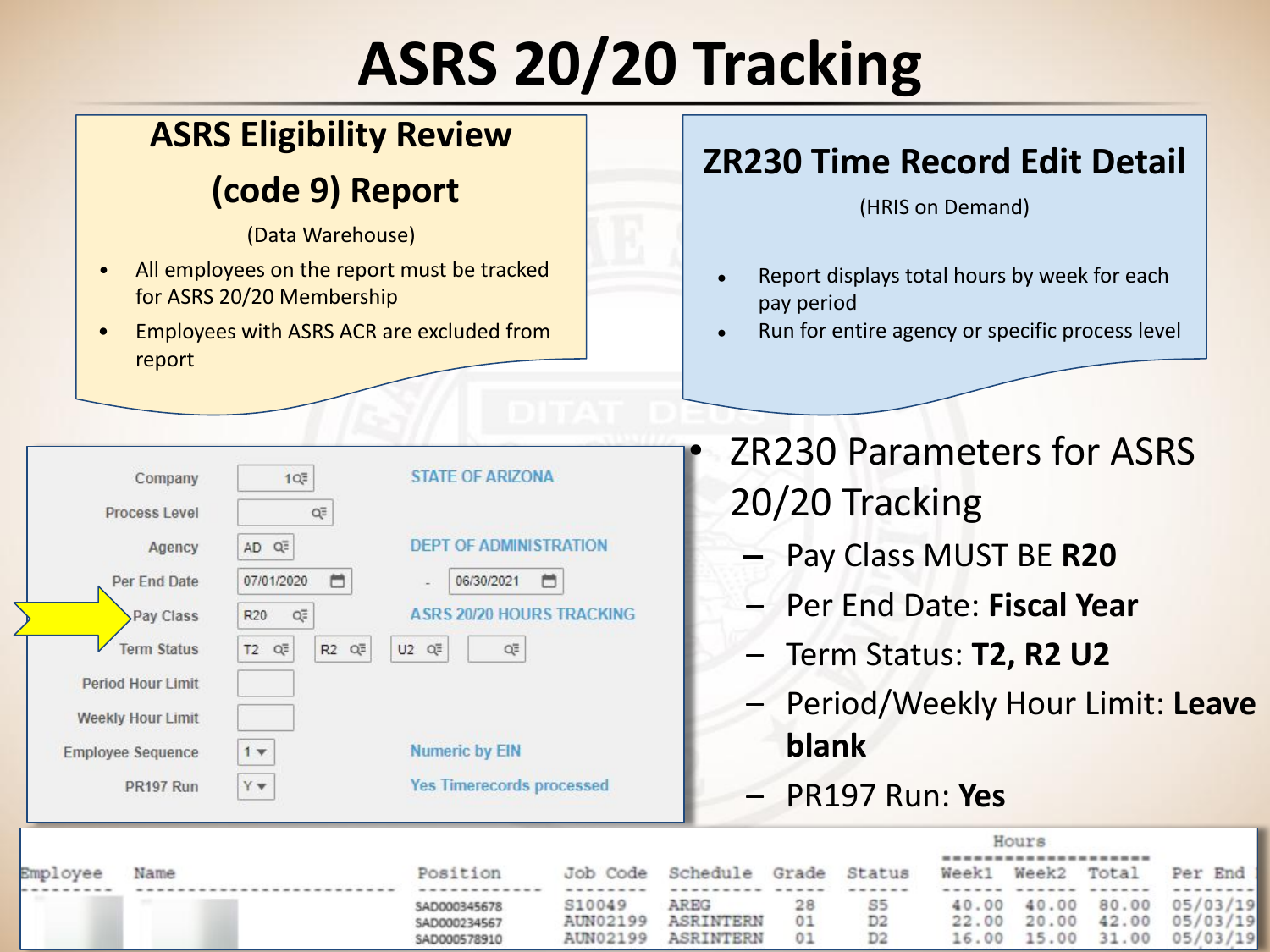# **ASRS 20/20 Tracking**

### **ASRS Eligibility Review**

### **(code 9) Report**

(Data Warehouse)

- All employees on the report must be tracked for ASRS 20/20 Membership
- Employees with ASRS ACR are excluded from report

**STATE OF ARIZONA** 

**DEPT OF ADMINISTRATION** 

06/30/2021

**ASRS 20/20 HOURS TRACKING** 

QE

**Yes Timerecords processed** 

 $1Q\overline{=}$ 

QË

AD Q<sup>E</sup>

R20

 $1 +$ Yv

 $T2$   $Q\overline{=}$ 

07/01/2020

Q=

 $\Box$ 

R2 Q<sup>3</sup>

 $U2$   $Q\equiv$ 

**Numeric by EIN** 

Company

Agency

Process Level

**Per End Date** 

Pay Class

**Term Status** 

PR197 Run

**Period Hour Limit Weekly Hour Limit** 

**Employee Sequence** 

### **ZR230 Time Record Edit Detail**

(HRIS on Demand)

- Report displays total hours by week for each pay period
- Run for entire agency or specific process level
- ZR230 Parameters for ASRS 20/20 Tracking
	- **–** Pay Class MUST BE **R20**
	- Per End Date: **Fiscal Year**
	- Term Status: **T2, R2 U2**
	- Period/Weekly Hour Limit: **Leave blank**
	- PR197 Run: **Yes**

|          |      |              |          |                       | Hours |                |  |             |                   |           |
|----------|------|--------------|----------|-----------------------|-------|----------------|--|-------------|-------------------|-----------|
| Employee | Name | Position     | Job Code | Schedule Grade Status |       |                |  | Week1 Week2 | Total             | Per End 1 |
|          |      |              |          |                       |       |                |  |             |                   |           |
|          |      | SAD000345678 | S10049   | AREG                  |       | S5             |  |             | 40.00 40.00 80.00 | 05/03/19  |
|          |      | SAD000234567 | AUN02199 | ASRINTERN             | 01    | D <sub>2</sub> |  |             | 22.00 20.00 42.00 | 05/03/19  |
|          |      | SAD000578910 | AUN02199 | ASRINTERN             | 01    | D <sub>2</sub> |  |             | 16.00 15.00 31.00 | 05/03/19  |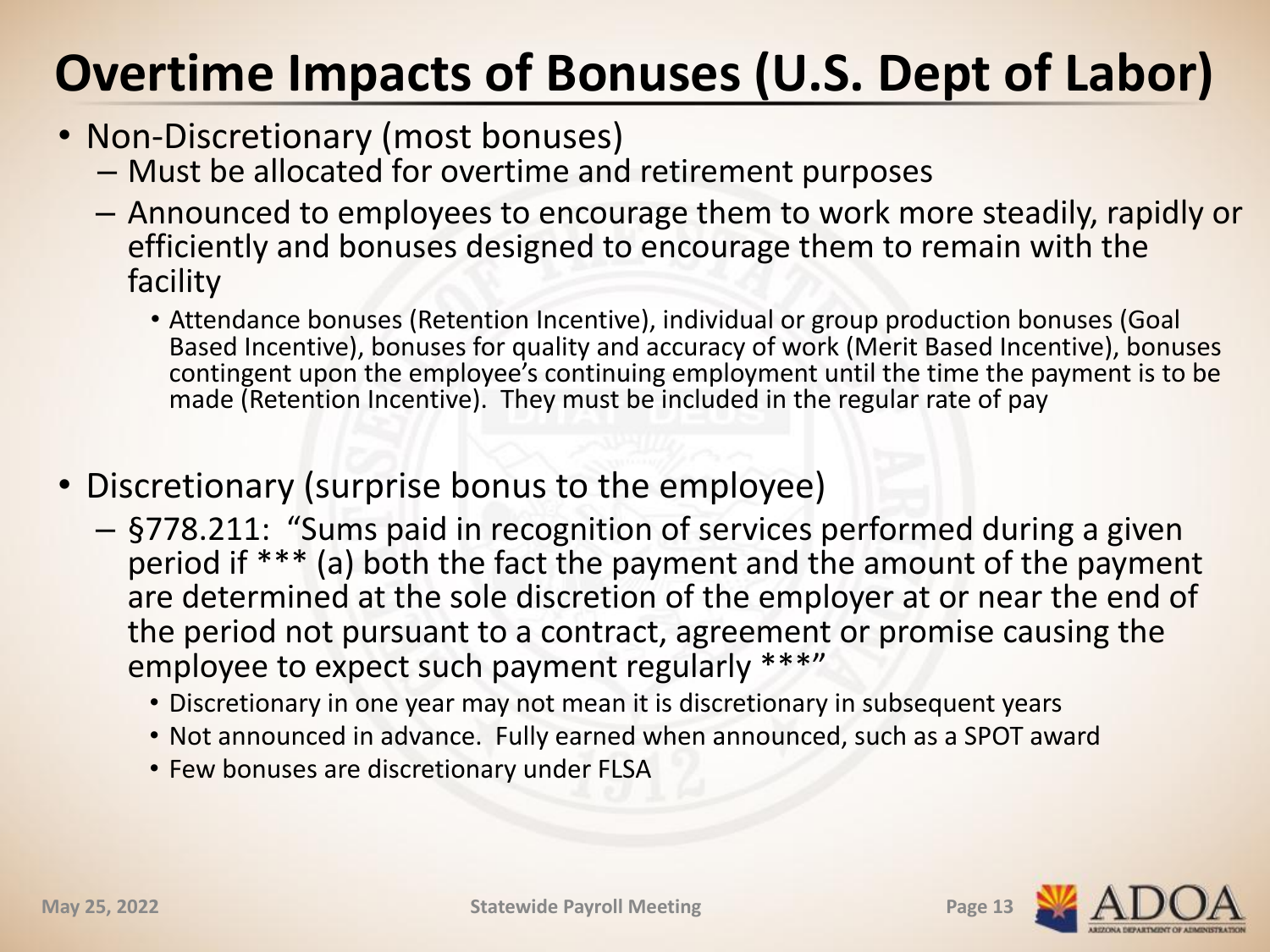### **Overtime Impacts of Bonuses (U.S. Dept of Labor)**

- Non-Discretionary (most bonuses)
	- Must be allocated for overtime and retirement purposes
	- Announced to employees to encourage them to work more steadily, rapidly or efficiently and bonuses designed to encourage them to remain with the facility
		- Attendance bonuses (Retention Incentive), individual or group production bonuses (Goal Based Incentive), bonuses for quality and accuracy of work (Merit Based Incentive), bonuses contingent upon the employee's continuing employment until the time the payment is to be made (Retention Incentive). They must be included in the regular rate of pay
- Discretionary (surprise bonus to the employee)
	- §778.211: "Sums paid in recognition of services performed during a given period if \*\*\* (a) both the fact the payment and the amount of the payment are determined at the sole discretion of the employer at or near the end of the period not pursuant to a contract, agreement or promise causing the employee to expect such payment regularly \*\*\*"
		- Discretionary in one year may not mean it is discretionary in subsequent years
		- Not announced in advance. Fully earned when announced, such as a SPOT award
		- Few bonuses are discretionary under FLSA

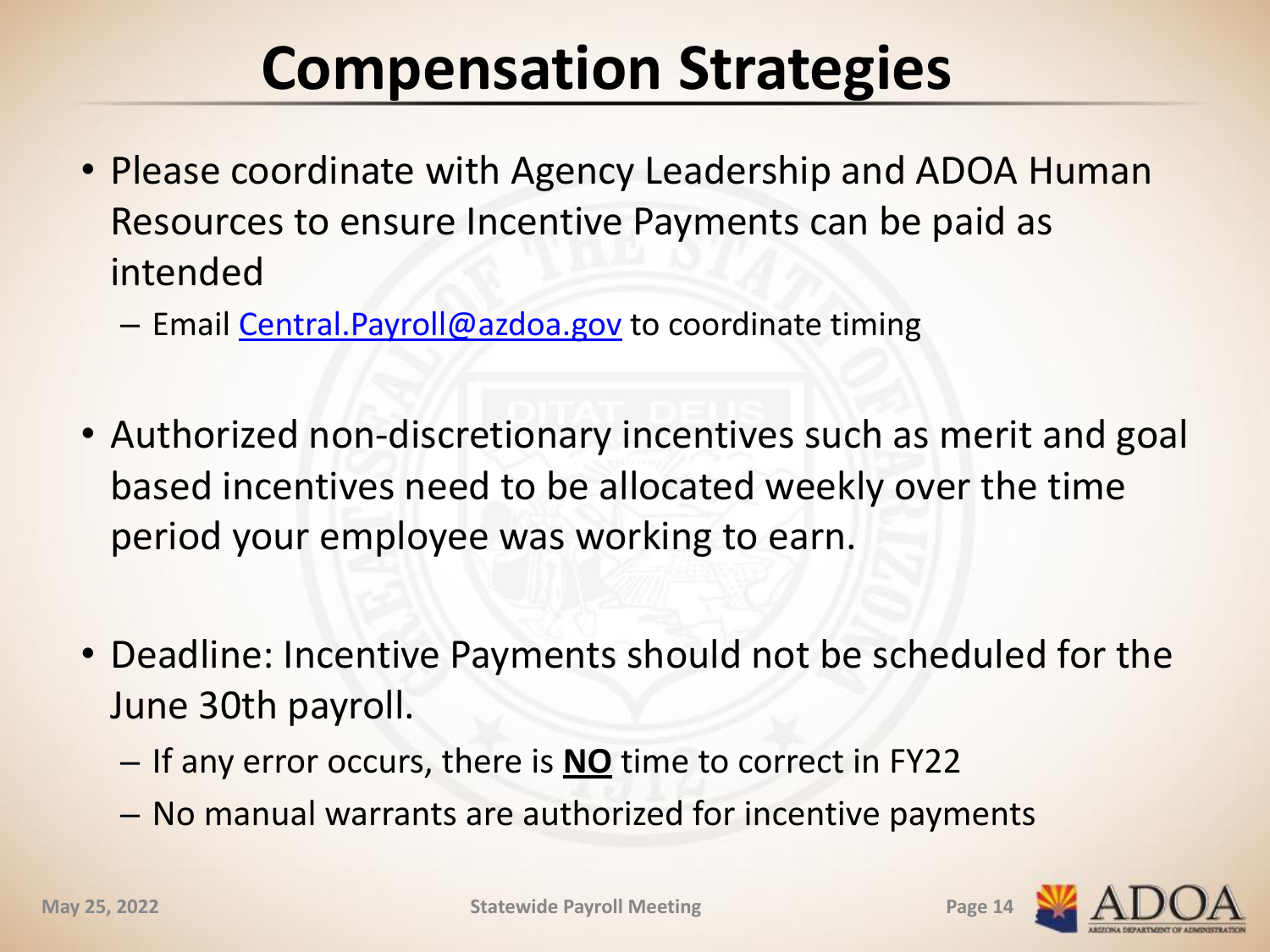## **Compensation Strategies**

- Please coordinate with Agency Leadership and ADOA Human Resources to ensure Incentive Payments can be paid as intended
	- Email [Central.Payroll@azdoa.gov](mailto:Central.Payroll@azdoa.gov) to coordinate timing
- Authorized non-discretionary incentives such as merit and goal based incentives need to be allocated weekly over the time period your employee was working to earn.
- Deadline: Incentive Payments should not be scheduled for the June 30th payroll.
	- If any error occurs, there is **NO** time to correct in FY22
	- No manual warrants are authorized for incentive payments

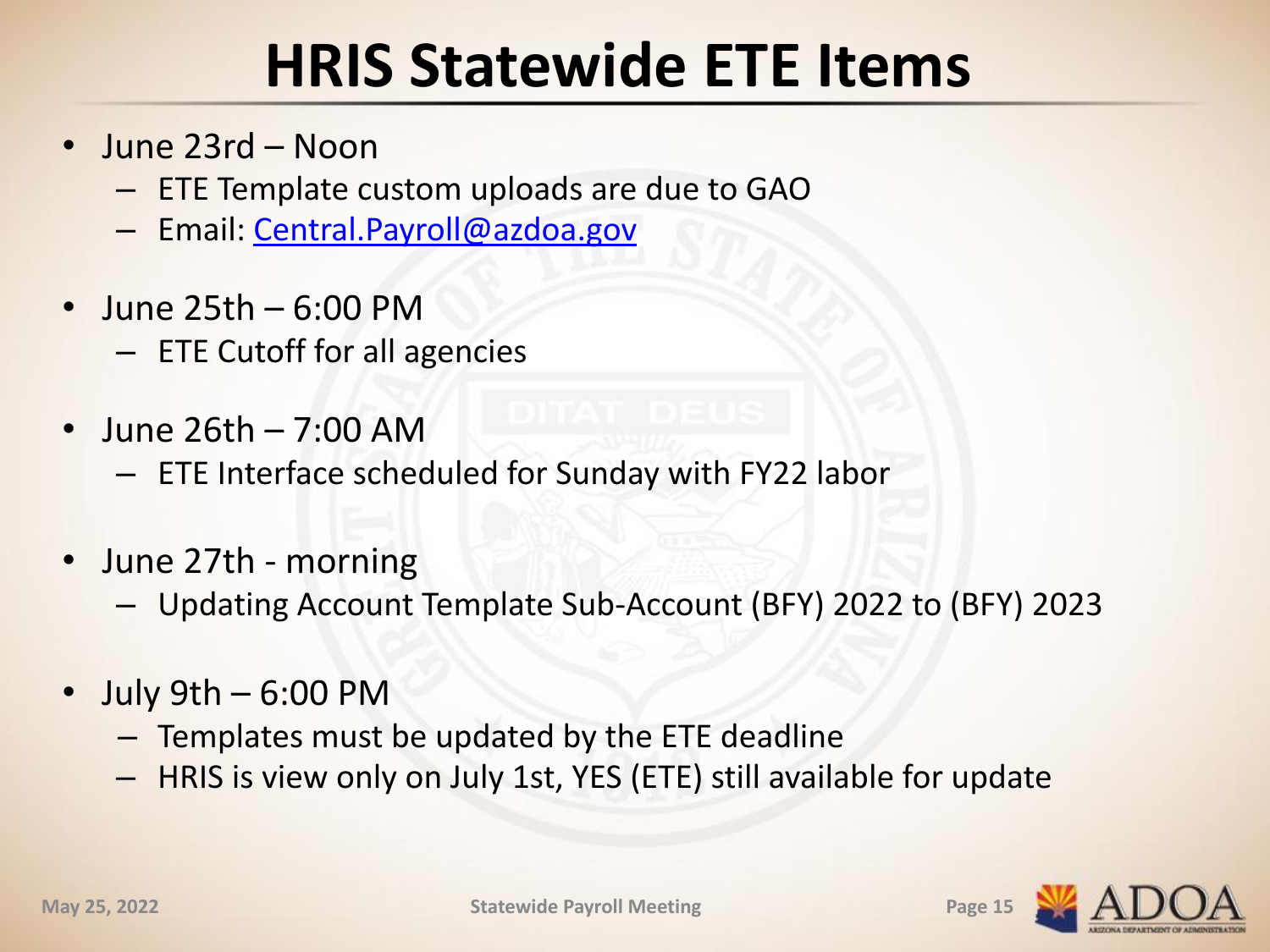## **HRIS Statewide ETE Items**

- June 23rd Noon
	- ETE Template custom uploads are due to GAO
	- Email: [Central.Payroll@azdoa.gov](mailto:Central.Payroll@azdoa.gov)
- June 25th 6:00 PM
	- ETE Cutoff for all agencies
- June 26th 7:00 AM
	- ETE Interface scheduled for Sunday with FY22 labor
- June 27th morning
	- Updating Account Template Sub-Account (BFY) 2022 to (BFY) 2023
- July 9th 6:00 PM
	- Templates must be updated by the ETE deadline
	- HRIS is view only on July 1st, YES (ETE) still available for update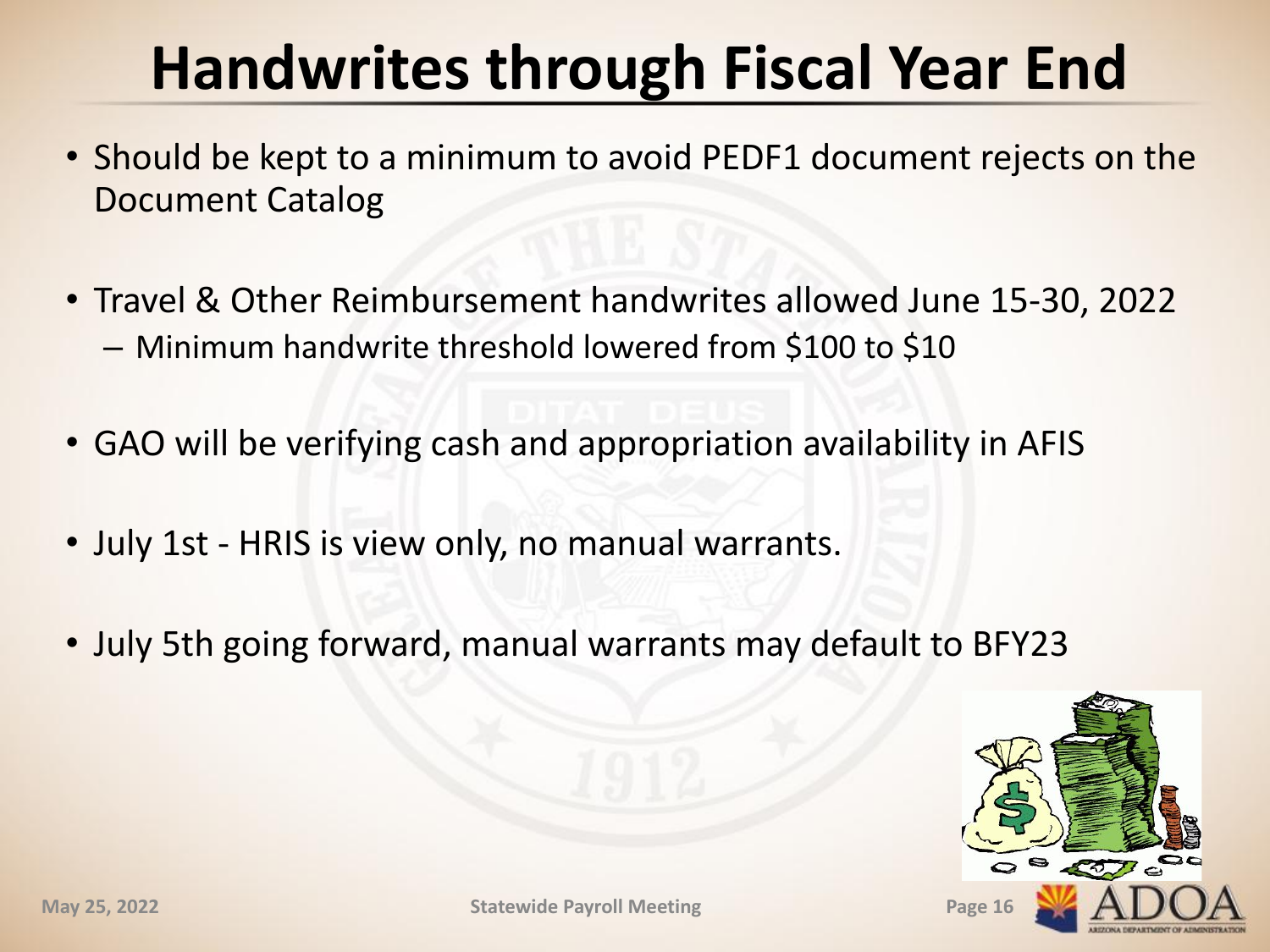# **Handwrites through Fiscal Year End**

- Should be kept to a minimum to avoid PEDF1 document rejects on the Document Catalog
- Travel & Other Reimbursement handwrites allowed June 15-30, 2022 – Minimum handwrite threshold lowered from \$100 to \$10
- GAO will be verifying cash and appropriation availability in AFIS
- July 1st HRIS is view only, no manual warrants.
- July 5th going forward, manual warrants may default to BFY23

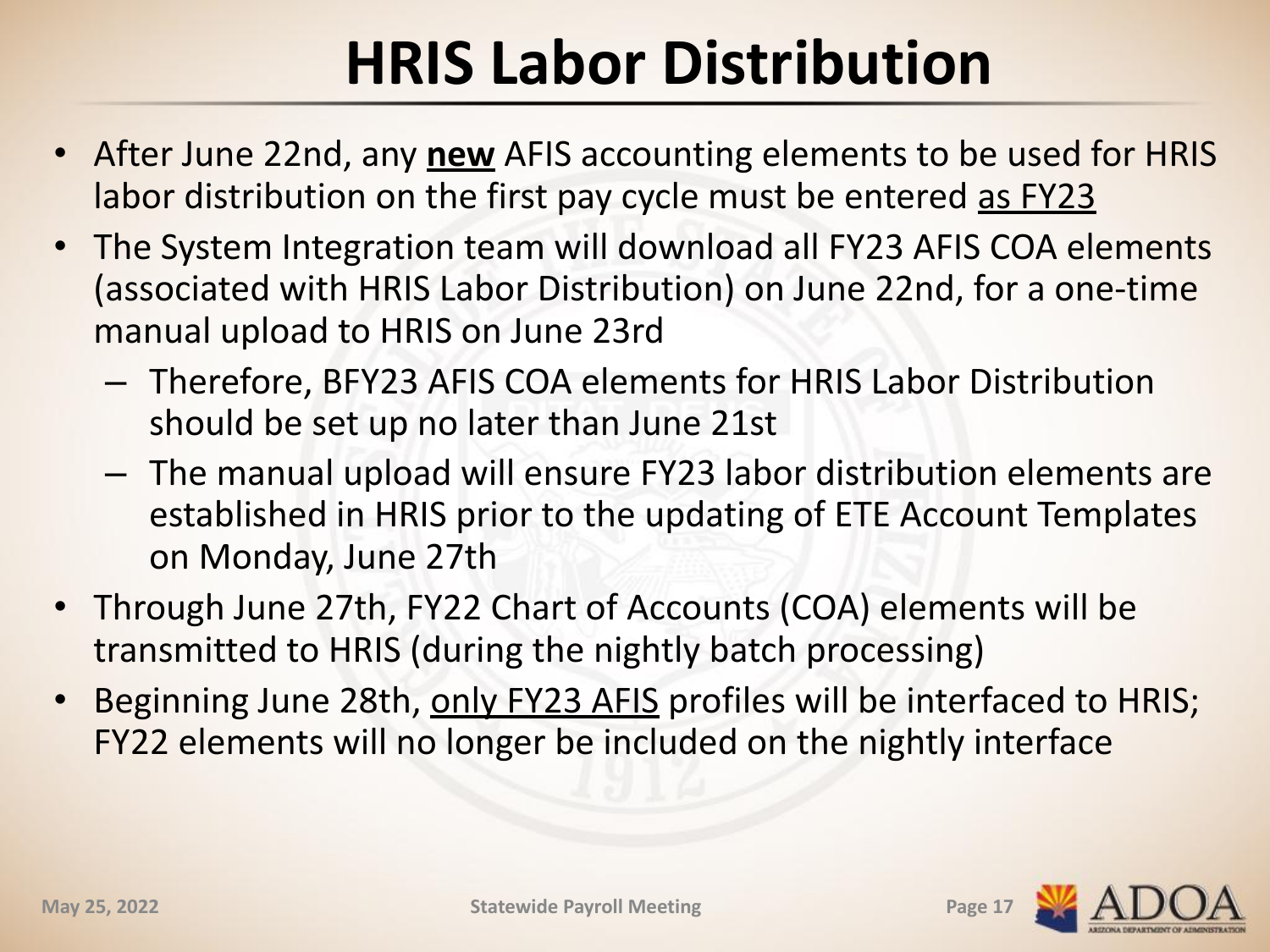# **HRIS Labor Distribution**

- After June 22nd, any **new** AFIS accounting elements to be used for HRIS labor distribution on the first pay cycle must be entered as FY23
- The System Integration team will download all FY23 AFIS COA elements (associated with HRIS Labor Distribution) on June 22nd, for a one-time manual upload to HRIS on June 23rd
	- Therefore, BFY23 AFIS COA elements for HRIS Labor Distribution should be set up no later than June 21st
	- The manual upload will ensure FY23 labor distribution elements are established in HRIS prior to the updating of ETE Account Templates on Monday, June 27th
- Through June 27th, FY22 Chart of Accounts (COA) elements will be transmitted to HRIS (during the nightly batch processing)
- Beginning June 28th, only FY23 AFIS profiles will be interfaced to HRIS; FY22 elements will no longer be included on the nightly interface

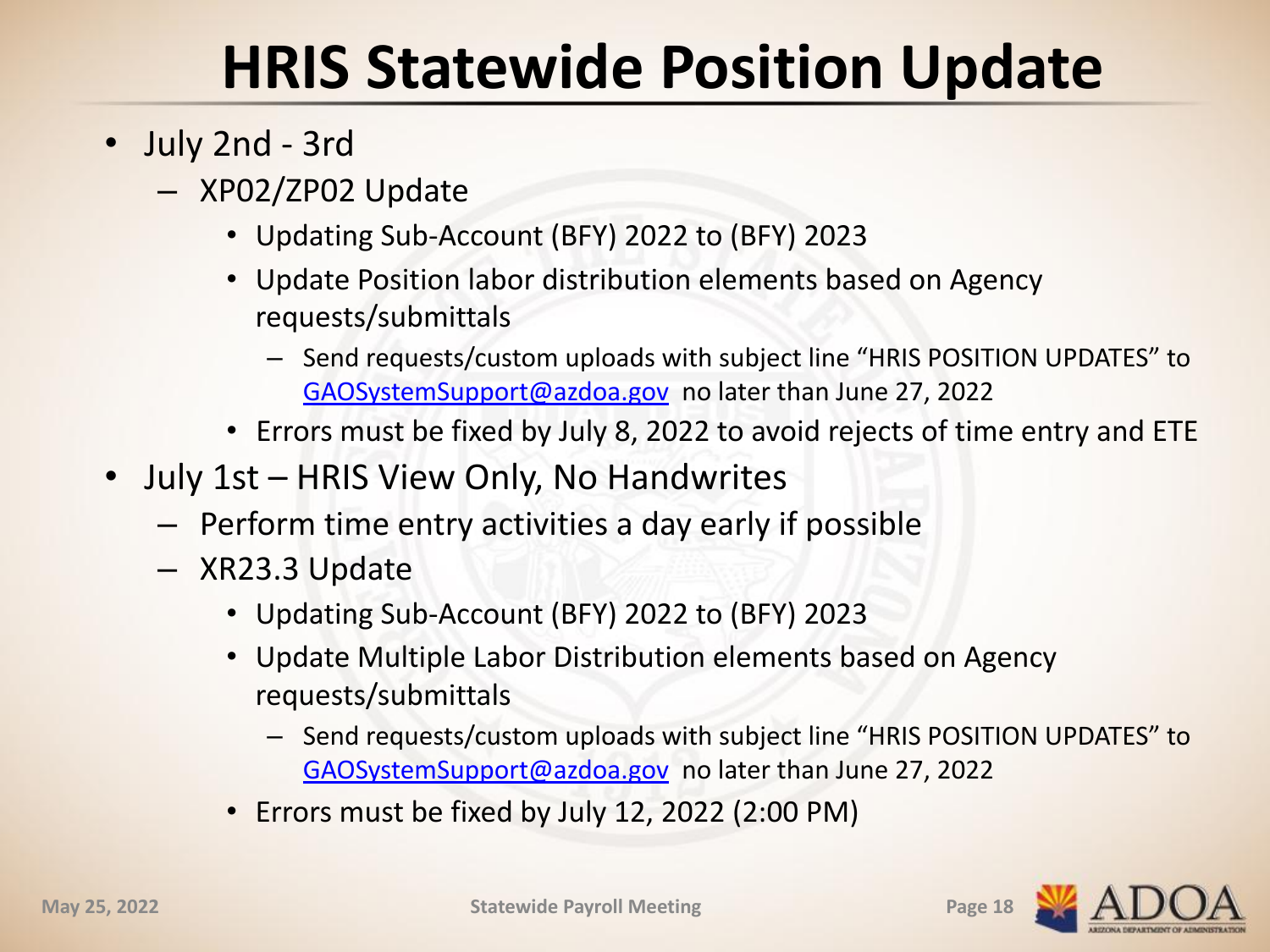## **HRIS Statewide Position Update**

- July 2nd 3rd
	- XP02/ZP02 Update
		- Updating Sub-Account (BFY) 2022 to (BFY) 2023
		- Update Position labor distribution elements based on Agency requests/submittals
			- Send requests/custom uploads with subject line "HRIS POSITION UPDATES" to [GAOSystemSupport@azdoa.gov](mailto:GAOSystemSupport@azdoa.gov) no later than June 27, 2022
		- Errors must be fixed by July 8, 2022 to avoid rejects of time entry and ETE
- July 1st HRIS View Only, No Handwrites
	- Perform time entry activities a day early if possible
	- XR23.3 Update
		- Updating Sub-Account (BFY) 2022 to (BFY) 2023
		- Update Multiple Labor Distribution elements based on Agency requests/submittals
			- Send requests/custom uploads with subject line "HRIS POSITION UPDATES" to [GAOSystemSupport@azdoa.gov](mailto:GAOSystemSupport@azdoa.gov) no later than June 27, 2022
		- Errors must be fixed by July 12, 2022 (2:00 PM)

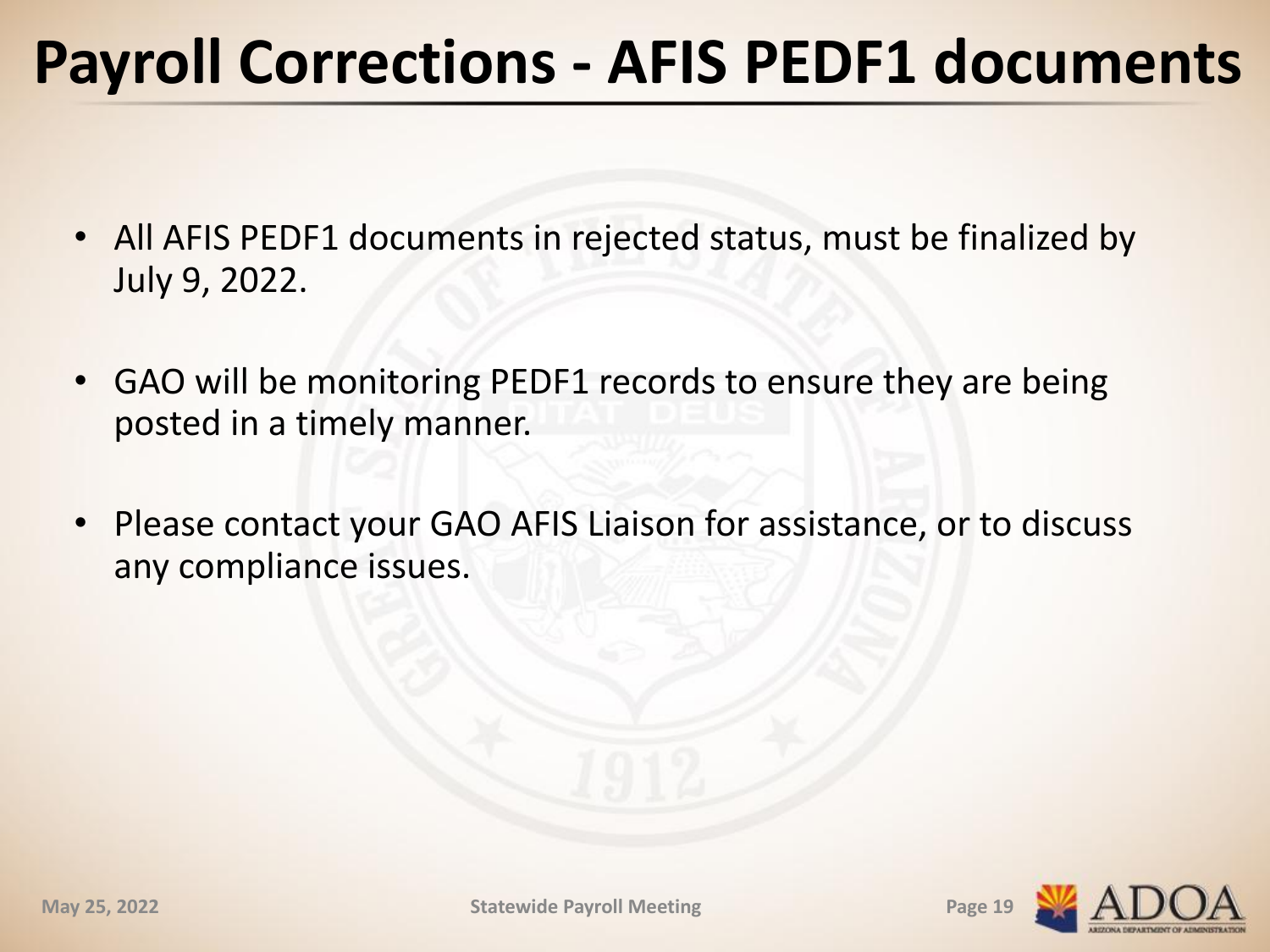## **Payroll Corrections - AFIS PEDF1 documents**

- All AFIS PEDF1 documents in rejected status, must be finalized by July 9, 2022.
- GAO will be monitoring PEDF1 records to ensure they are being posted in a timely manner.
- Please contact your GAO AFIS Liaison for assistance, or to discuss any compliance issues.

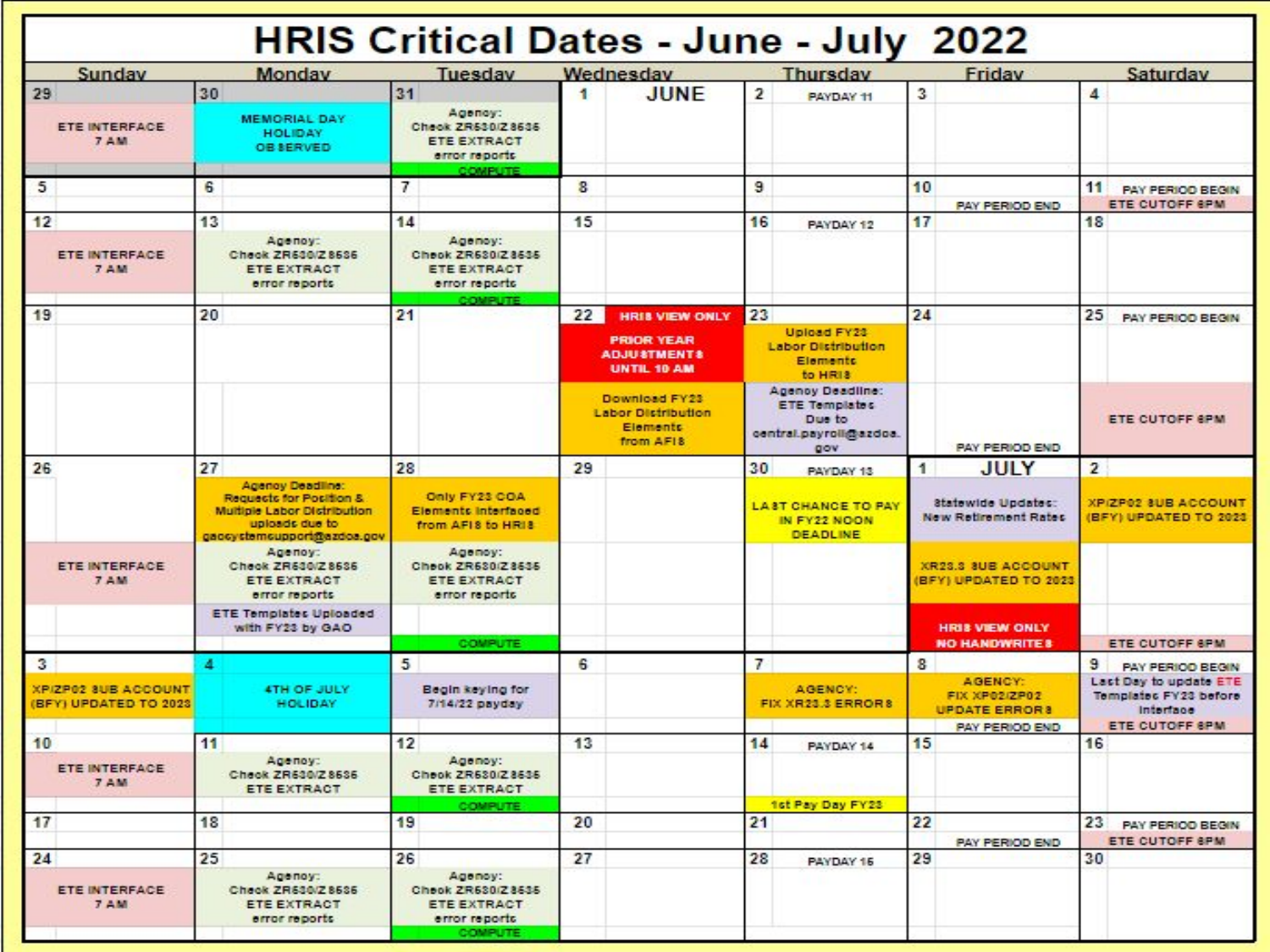| <b>HRIS Critical Dates - June - July 2022</b>       |    |                                                                                                                                   |                                                                                             |    |                                                                            |                |                                                                                      |                      |                                                                           |                |                                                                                       |
|-----------------------------------------------------|----|-----------------------------------------------------------------------------------------------------------------------------------|---------------------------------------------------------------------------------------------|----|----------------------------------------------------------------------------|----------------|--------------------------------------------------------------------------------------|----------------------|---------------------------------------------------------------------------|----------------|---------------------------------------------------------------------------------------|
| Sunday                                              |    | Monday                                                                                                                            | Tuesday                                                                                     |    | Wednesday                                                                  |                | Thursday                                                                             |                      | Friday                                                                    |                | Saturday                                                                              |
| 29<br><b>ETE INTERFACE</b><br>7 AM                  | 30 | <b>MEMORIAL DAY</b><br><b>HOLIDAY</b>                                                                                             | 31<br>Agency:<br>Check ZR530/Z8636<br><b>ETE EXTRACT</b>                                    | 1  | <b>JUNE</b>                                                                | $\overline{2}$ | PAYDAY 11                                                                            | 3                    |                                                                           | 4              |                                                                                       |
|                                                     |    | OB SERVED                                                                                                                         | error reports<br>COMPUTE                                                                    |    |                                                                            |                |                                                                                      |                      |                                                                           |                |                                                                                       |
| 5                                                   | 6  |                                                                                                                                   | 7                                                                                           | 8  |                                                                            | 9              |                                                                                      | 10                   | <b>PAY PERIOD END</b>                                                     | 11             | <b>PAY PERIOD BEGIN</b><br><b>ETE CUTOFF 6PM</b>                                      |
| 12                                                  | 13 |                                                                                                                                   | 14                                                                                          | 15 |                                                                            | 16             | PAYDAY 12                                                                            | 17                   |                                                                           | 18             |                                                                                       |
| <b>ETE INTERFACE</b><br>7 AM                        |    | Адепоу:<br>Check ZR530/Z 8536<br><b>ETE EXTRACT</b><br>error reports                                                              | Agency:<br>Check ZR630/Z8635<br><b>ETE EXTRACT</b><br>error reports                         |    |                                                                            |                |                                                                                      |                      |                                                                           |                |                                                                                       |
| 19                                                  | 20 |                                                                                                                                   | COMPUTE<br>21                                                                               | 22 | <b>HRIS VIEW ONLY</b>                                                      | 23             |                                                                                      | 24                   |                                                                           | 25             | PAY PERIOD BEGIN                                                                      |
|                                                     |    |                                                                                                                                   |                                                                                             |    | <b>PRIOR YEAR</b><br><b>ADJUSTMENTS</b><br><b>UNTIL 10 AM</b>              |                | Upload FY23<br><b>Labor Distribution</b><br>Elements<br>to HRI3                      |                      |                                                                           |                |                                                                                       |
|                                                     |    |                                                                                                                                   |                                                                                             |    | Download FY23<br><b>Labor Distribution</b><br><b>Elements</b><br>from AFIS |                | Agency Deadline:<br><b>ETE Templates</b><br>Due to<br>central payroll dezdos.<br>gov |                      | <b>PAY PERIOD END</b>                                                     |                | <b>ETE CUTOFF SPM</b>                                                                 |
| 26                                                  | 27 |                                                                                                                                   | 28                                                                                          | 29 |                                                                            | 30             | PAYDAY 13                                                                            | $\ddot{\phantom{1}}$ | <b>JULY</b>                                                               | $\overline{2}$ |                                                                                       |
|                                                     |    | <b>Agency Deadline:</b><br>Requests for Position &<br>Multiple Labor Distribution<br>uploads due to<br>gaosystemsupport@azdoa.gov | Only FY23 COA<br>Elements Interfaced<br>from AFIS to HRIS                                   |    |                                                                            |                | <b>LAST CHANCE TO PAY</b><br>IN FY22 NOON<br><b>DEADLINE</b>                         |                      | Statewide Updates:<br>New Retirement Rates                                |                | XP/ZP02 8UB ACCOUNT<br><b>BFYI UPDATED TO 2023</b>                                    |
| <b>ETE INTERFACE</b><br><b>7 AM</b>                 |    | Аделоу:<br>Check ZR530/Z 8636<br><b>ETE EXTRACT</b><br>error reports                                                              | Agency:<br>Check ZR630/Z8635<br><b>ETE EXTRACT</b><br>error reports                         |    |                                                                            |                |                                                                                      |                      | XR23.3 SUB ACCOUNT<br>BFY) UPDATED TO 2023                                |                |                                                                                       |
|                                                     |    | <b>ETE Templates Uploaded</b><br>with FY23 by GAO                                                                                 | <b>COMPUTE</b>                                                                              |    |                                                                            |                |                                                                                      |                      | <b>HRIS VIEW ONLY</b><br><b>NO HANDWRITE 8</b>                            |                | <b>ETE CUTOFF 6PM</b>                                                                 |
| 3                                                   | 4  |                                                                                                                                   | 5                                                                                           | 6  |                                                                            | 7              |                                                                                      | 8                    |                                                                           | 9              | <b>PAY PERIOD BEGIN</b>                                                               |
| <b>XPIZP02 SUB ACCOUNT</b><br>(BFY) UPDATED TO 2023 |    | <b>4TH OF JULY</b><br><b>HOLIDAY</b>                                                                                              | Begin keying for<br>7/14/22 payday                                                          |    |                                                                            |                | AGENCY:<br>FIX XR23.3 ERRORS                                                         |                      | AGENCY:<br><b>FIX XP02/ZP02</b><br><b>UPDATE ERRORS</b><br>PAY PERIOD END |                | Last Day to update ETE<br>Templatec FY23 before<br>Interface<br><b>ETE CUTOFF SPM</b> |
| 10                                                  | 11 |                                                                                                                                   | 12                                                                                          | 13 |                                                                            | 14             | PAYDAY 14                                                                            | 15                   |                                                                           | 16             |                                                                                       |
| <b>ETE INTERFACE</b><br>7 AM                        |    | Арепоу:<br>Check ZR530/Z8636<br><b>ETE EXTRACT</b>                                                                                | Agency:<br>Check ZR630/Z8636<br><b>ETE EXTRACT</b>                                          |    |                                                                            |                |                                                                                      |                      |                                                                           |                |                                                                                       |
| 17                                                  | 18 |                                                                                                                                   | <b>COMPUTE</b><br>19                                                                        | 20 |                                                                            | 21             | 1st Pay Day FY23                                                                     | 22                   |                                                                           |                | 23 PAY PERIOD BEGIN                                                                   |
|                                                     |    |                                                                                                                                   |                                                                                             |    |                                                                            |                |                                                                                      |                      | <b>PAY PERIOD END</b>                                                     |                | <b>ETE CUTOFF SPM</b>                                                                 |
| 24<br><b>ETE INTERFACE</b><br><b>7 AM</b>           | 25 | Agency:<br>Check ZR630/Z8636<br><b>ETE EXTRACT</b><br>error reports                                                               | 26<br>Agency:<br>Check ZR630/Z8635<br><b>ETE EXTRACT</b><br>error reports<br><b>COMPUTE</b> | 27 |                                                                            | 28             | PAYDAY 16                                                                            | 29                   |                                                                           | 30             |                                                                                       |